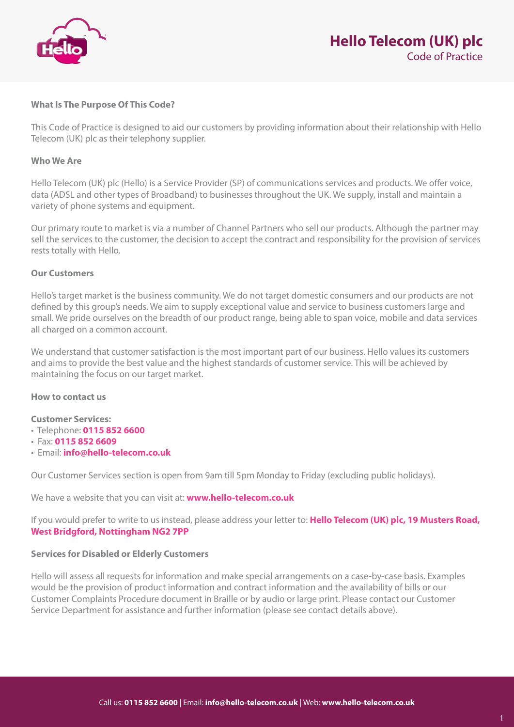

## **What Is The Purpose Of This Code?**

This Code of Practice is designed to aid our customers by providing information about their relationship with Hello Telecom (UK) plc as their telephony supplier.

## **Who We Are**

Hello Telecom (UK) plc (Hello) is a Service Provider (SP) of communications services and products. We offer voice, data (ADSL and other types of Broadband) to businesses throughout the UK. We supply, install and maintain a variety of phone systems and equipment.

Our primary route to market is via a number of Channel Partners who sell our products. Although the partner may sell the services to the customer, the decision to accept the contract and responsibility for the provision of services rests totally with Hello.

## **Our Customers**

Hello's target market is the business community. We do not target domestic consumers and our products are not defined by this group's needs. We aim to supply exceptional value and service to business customers large and small. We pride ourselves on the breadth of our product range, being able to span voice, mobile and data services all charged on a common account.

We understand that customer satisfaction is the most important part of our business. Hello values its customers and aims to provide the best value and the highest standards of customer service. This will be achieved by maintaining the focus on our target market.

#### **How to contact us**

#### **Customer Services:**

- Telephone: **0115 852 6600**
- Fax: **0115 852 6609**
- Email: **info@hello-telecom.co.uk**

Our Customer Services section is open from 9am till 5pm Monday to Friday (excluding public holidays).

We have a website that you can visit at: **www.hello-telecom.co.uk**

If you would prefer to write to us instead, please address your letter to: **Hello Telecom (UK) plc, 19 Musters Road, West Bridgford, Nottingham NG2 7PP** 

## **Services for Disabled or Elderly Customers**

Hello will assess all requests for information and make special arrangements on a case-by-case basis. Examples would be the provision of product information and contract information and the availability of bills or our Customer Complaints Procedure document in Braille or by audio or large print. Please contact our Customer Service Department for assistance and further information (please see contact details above).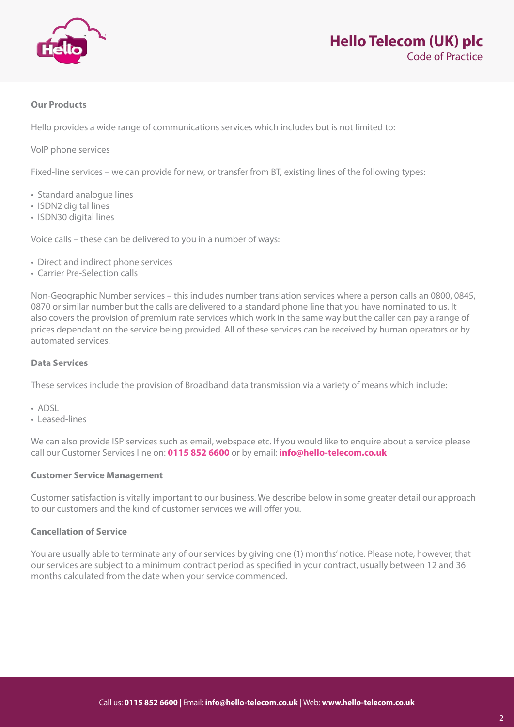

# **Our Products**

Hello provides a wide range of communications services which includes but is not limited to:

VoIP phone services

Fixed-line services – we can provide for new, or transfer from BT, existing lines of the following types:

- Standard analogue lines
- ISDN2 digital lines
- ISDN30 digital lines

Voice calls – these can be delivered to you in a number of ways:

- Direct and indirect phone services
- Carrier Pre-Selection calls

Non-Geographic Number services – this includes number translation services where a person calls an 0800, 0845, 0870 or similar number but the calls are delivered to a standard phone line that you have nominated to us. It also covers the provision of premium rate services which work in the same way but the caller can pay a range of prices dependant on the service being provided. All of these services can be received by human operators or by automated services.

#### **Data Services**

These services include the provision of Broadband data transmission via a variety of means which include:

- ADSL
- Leased-lines

We can also provide ISP services such as email, webspace etc. If you would like to enquire about a service please call our Customer Services line on: **0115 852 6600** or by email: **info@hello-telecom.co.uk**

#### **Customer Service Management**

Customer satisfaction is vitally important to our business. We describe below in some greater detail our approach to our customers and the kind of customer services we will offer you.

#### **Cancellation of Service**

You are usually able to terminate any of our services by giving one (1) months' notice. Please note, however, that our services are subject to a minimum contract period as specified in your contract, usually between 12 and 36 months calculated from the date when your service commenced.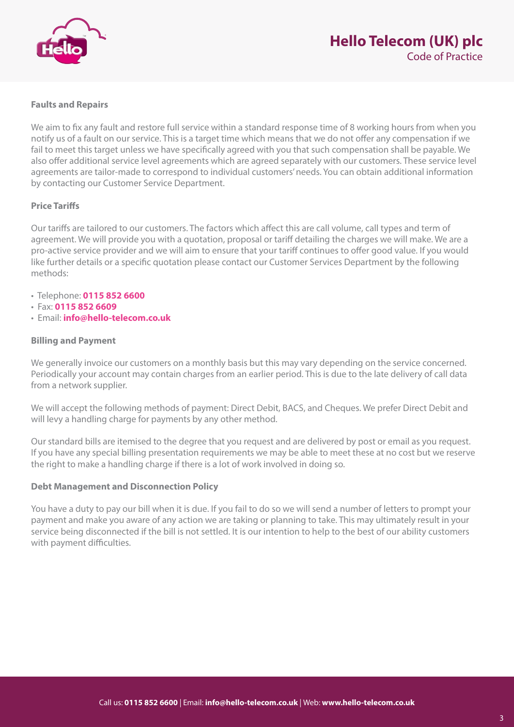

# **Faults and Repairs**

We aim to fix any fault and restore full service within a standard response time of 8 working hours from when you notify us of a fault on our service. This is a target time which means that we do not offer any compensation if we fail to meet this target unless we have specifically agreed with you that such compensation shall be payable. We also offer additional service level agreements which are agreed separately with our customers. These service level agreements are tailor-made to correspond to individual customers' needs. You can obtain additional information by contacting our Customer Service Department.

# **Price Tariffs**

Our tariffs are tailored to our customers. The factors which affect this are call volume, call types and term of agreement. We will provide you with a quotation, proposal or tariff detailing the charges we will make. We are a pro-active service provider and we will aim to ensure that your tariff continues to offer good value. If you would like further details or a specific quotation please contact our Customer Services Department by the following methods:

- Telephone: **0115 852 6600**
- Fax: **0115 852 6609**
- Email: **info@hello-telecom.co.uk**

## **Billing and Payment**

We generally invoice our customers on a monthly basis but this may vary depending on the service concerned. Periodically your account may contain charges from an earlier period. This is due to the late delivery of call data from a network supplier.

We will accept the following methods of payment: Direct Debit, BACS, and Cheques. We prefer Direct Debit and will levy a handling charge for payments by any other method.

Our standard bills are itemised to the degree that you request and are delivered by post or email as you request. If you have any special billing presentation requirements we may be able to meet these at no cost but we reserve the right to make a handling charge if there is a lot of work involved in doing so.

## **Debt Management and Disconnection Policy**

You have a duty to pay our bill when it is due. If you fail to do so we will send a number of letters to prompt your payment and make you aware of any action we are taking or planning to take. This may ultimately result in your service being disconnected if the bill is not settled. It is our intention to help to the best of our ability customers with payment difficulties.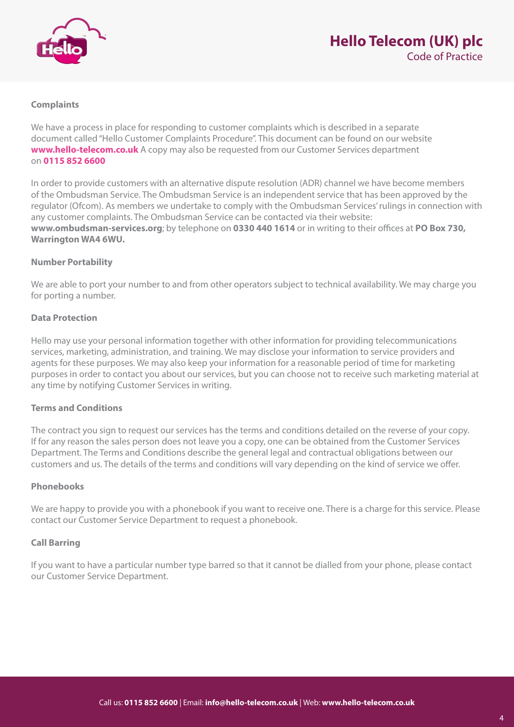

# **Complaints**

We have a process in place for responding to customer complaints which is described in a separate document called "Hello Customer Complaints Procedure". This document can be found on our website **www.hello-telecom.co.uk** A copy may also be requested from our Customer Services department on **0115 852 6600**

In order to provide customers with an alternative dispute resolution (ADR) channel we have become members of the Ombudsman Service. The Ombudsman Service is an independent service that has been approved by the regulator (Ofcom). As members we undertake to comply with the Ombudsman Services' rulings in connection with any customer complaints. The Ombudsman Service can be contacted via their website: **www.ombudsman-services.org**; by telephone on **0330 440 1614** or in writing to their offices at **PO Box 730, Warrington WA4 6WU.** 

# **Number Portability**

We are able to port your number to and from other operators subject to technical availability. We may charge you for porting a number.

# **Data Protection**

Hello may use your personal information together with other information for providing telecommunications services, marketing, administration, and training. We may disclose your information to service providers and agents for these purposes. We may also keep your information for a reasonable period of time for marketing purposes in order to contact you about our services, but you can choose not to receive such marketing material at any time by notifying Customer Services in writing.

## **Terms and Conditions**

The contract you sign to request our services has the terms and conditions detailed on the reverse of your copy. If for any reason the sales person does not leave you a copy, one can be obtained from the Customer Services Department. The Terms and Conditions describe the general legal and contractual obligations between our customers and us. The details of the terms and conditions will vary depending on the kind of service we offer.

# **Phonebooks**

We are happy to provide you with a phonebook if you want to receive one. There is a charge for this service. Please contact our Customer Service Department to request a phonebook.

## **Call Barring**

If you want to have a particular number type barred so that it cannot be dialled from your phone, please contact our Customer Service Department.